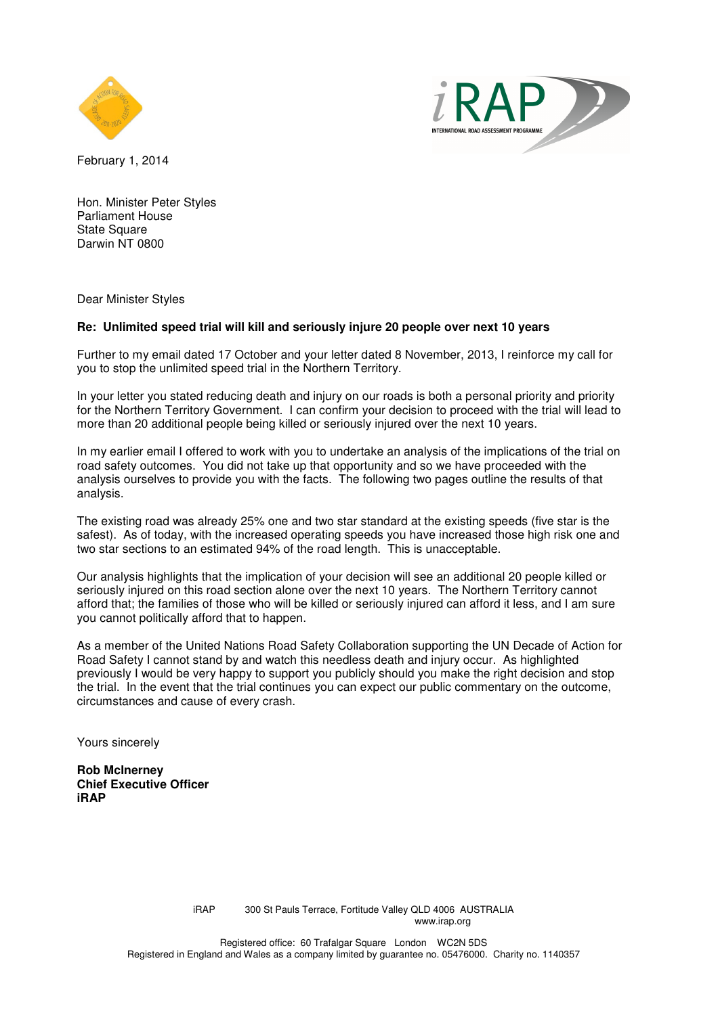



February 1, 2014

Hon. Minister Peter Styles Parliament House State Square Darwin NT 0800

Dear Minister Styles

### **Re: Unlimited speed trial will kill and seriously injure 20 people over next 10 years**

Further to my email dated 17 October and your letter dated 8 November, 2013, I reinforce my call for you to stop the unlimited speed trial in the Northern Territory.

In your letter you stated reducing death and injury on our roads is both a personal priority and priority for the Northern Territory Government. I can confirm your decision to proceed with the trial will lead to more than 20 additional people being killed or seriously injured over the next 10 years.

In my earlier email I offered to work with you to undertake an analysis of the implications of the trial on road safety outcomes. You did not take up that opportunity and so we have proceeded with the analysis ourselves to provide you with the facts. The following two pages outline the results of that analysis.

The existing road was already 25% one and two star standard at the existing speeds (five star is the safest). As of today, with the increased operating speeds you have increased those high risk one and two star sections to an estimated 94% of the road length. This is unacceptable.

Our analysis highlights that the implication of your decision will see an additional 20 people killed or seriously injured on this road section alone over the next 10 years. The Northern Territory cannot afford that; the families of those who will be killed or seriously injured can afford it less, and I am sure you cannot politically afford that to happen.

As a member of the United Nations Road Safety Collaboration supporting the UN Decade of Action for Road Safety I cannot stand by and watch this needless death and injury occur. As highlighted previously I would be very happy to support you publicly should you make the right decision and stop the trial. In the event that the trial continues you can expect our public commentary on the outcome, circumstances and cause of every crash.

Yours sincerely

**Rob McInerney Chief Executive Officer iRAP**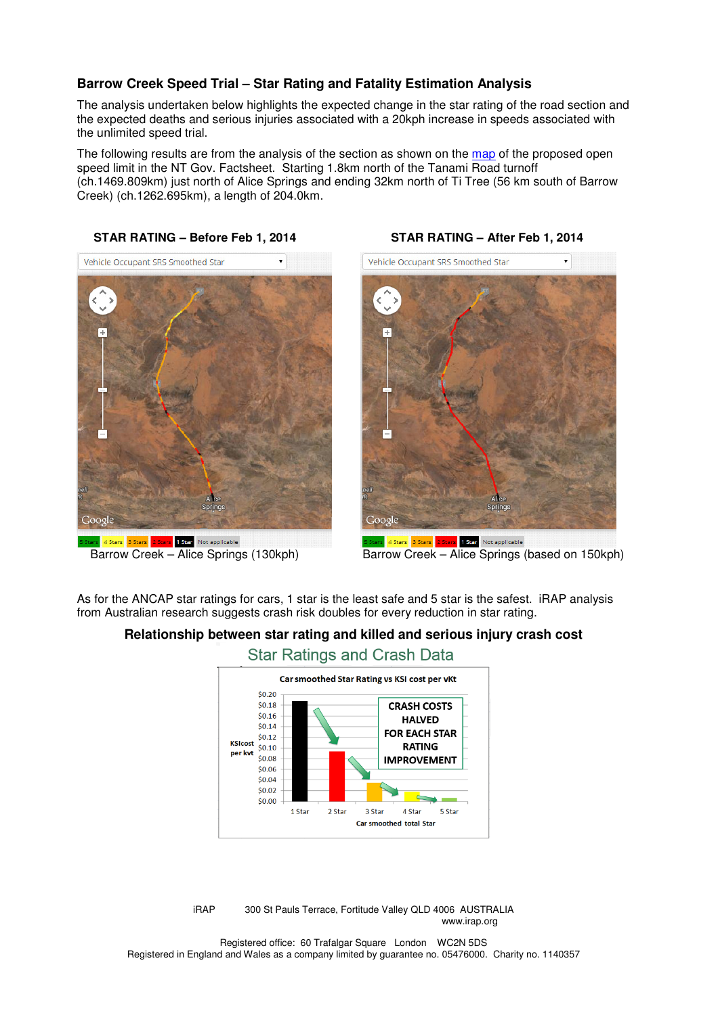## **Barrow Creek Speed Trial – Star Rating and Fatality Estimation Analysis**

The analysis undertaken below highlights the expected change in the star rating of the road section and the expected deaths and serious injuries associated with a 20kph increase in speeds associated with the unlimited speed trial.

The following results are from the analysis of the section as shown on the map of the proposed open speed limit in the NT Gov. Factsheet. Starting 1.8km north of the Tanami Road turnoff (ch.1469.809km) just north of Alice Springs and ending 32km north of Ti Tree (56 km south of Barrow Creek) (ch.1262.695km), a length of 204.0km.

### **STAR RATING – Before Feb 1, 2014 STAR RATING – After Feb 1, 2014**



# Vehicle Occupant SRS Smoothed Star Google 4 Stars 3 Stars 2 Stars 1 Star Not applicable

Barrow Creek – Alice Springs (130kph) Barrow Creek – Alice Springs (based on 150kph)

As for the ANCAP star ratings for cars, 1 star is the least safe and 5 star is the safest. iRAP analysis from Australian research suggests crash risk doubles for every reduction in star rating.

# **Relationship between star rating and killed and serious injury crash cost**



**Star Ratings and Crash Data** 

iRAP 300 St Pauls Terrace, Fortitude Valley QLD 4006 AUSTRALIA www.irap.org

Registered office: 60 Trafalgar Square London WC2N 5DS Registered in England and Wales as a company limited by guarantee no. 05476000. Charity no. 1140357